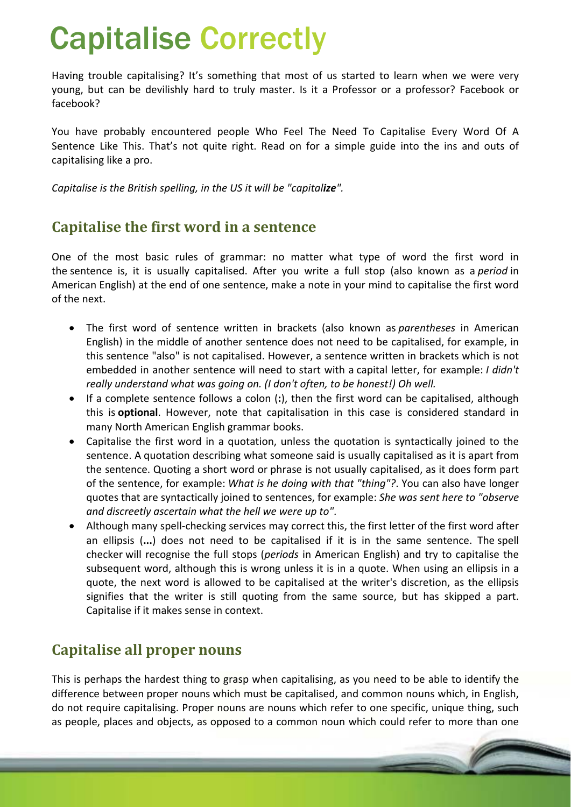# Capitalise Correctly

Having trouble capitalising? It's something that most of us started to learn when we were very young, but can be devilishly hard to truly master. Is it a Professor or a professor? Facebook or facebook?

You have probably encountered people Who Feel The Need To Capitalise Every Word Of A Sentence Like This. That's not quite right. Read on for a simple guide into the ins and outs of capitalising like a pro.

*Capitalise is the British spelling, in the US it will be "capitalize".*

## **Capitalise the first word in a sentence**

One of the most basic rules of grammar: no matter what type of word the first word in the sentence is, it is usually capitalised. After you write a full stop (also known as a *period* in American English) at the end of one sentence, make a note in your mind to capitalise the first word of the next.

- The first word of sentence written in brackets (also known as *parentheses* in American English) in the middle of another sentence does not need to be capitalised, for example, in this sentence "also" is not capitalised. However, a sentence written in brackets which is not embedded in another sentence will need to start with a capital letter, for example: *I didn't really understand what was going on. (I don't often, to be honest!) Oh well.*
- If a complete sentence follows a colon (**:**), then the first word can be capitalised, although this is **optional**. However, note that capitalisation in this case is considered standard in many North American English grammar books.
- Capitalise the first word in a quotation, unless the quotation is syntactically joined to the sentence. A quotation describing what someone said is usually capitalised as it is apart from the sentence. Quoting a short word or phrase is not usually capitalised, as it does form part of the sentence, for example: *What is he doing with that "thing"?*. You can also have longer quotes that are syntactically joined to sentences, for example: *She was sent here to "observe and discreetly ascertain what the hell we were up to"*.
- Although many spell-checking services may correct this, the first letter of the first word after an ellipsis (**...**) does not need to be capitalised if it is in the same sentence. The spell checker will recognise the full stops (*periods* in American English) and try to capitalise the subsequent word, although this is wrong unless it is in a quote. When using an ellipsis in a quote, the next word is allowed to be capitalised at the writer's discretion, as the ellipsis signifies that the writer is still quoting from the same source, but has skipped a part. Capitalise if it makes sense in context.

## **Capitalise all proper nouns**

This is perhaps the hardest thing to grasp when capitalising, as you need to be able to identify the difference between proper nouns which must be capitalised, and common nouns which, in English, do not require capitalising. Proper nouns are nouns which refer to one specific, unique thing, such as people, places and objects, as opposed to a common noun which could refer to more than one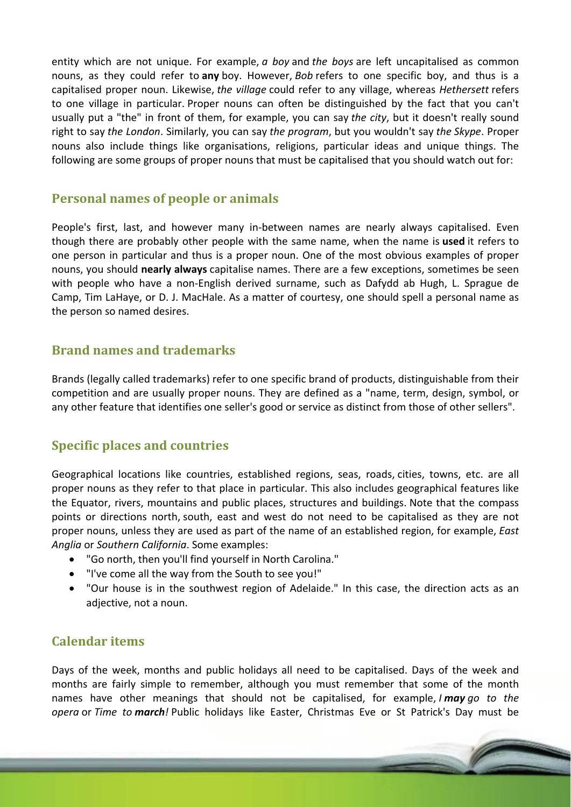entity which are not unique. For example, *a boy* and *the boys* are left uncapitalised as common nouns, as they could refer to **any** boy. However, *Bob* refers to one specific boy, and thus is a capitalised proper noun. Likewise, *the village* could refer to any village, whereas *Hethersett* refers to one village in particular. Proper nouns can often be distinguished by the fact that you can't usually put a "the" in front of them, for example, you can say *the city*, but it doesn't really sound right to say *the London*. Similarly, you can say *the program*, but you wouldn't say *the Skype*. Proper nouns also include things like organisations, religions, particular ideas and unique things. The following are some groups of proper nouns that must be capitalised that you should watch out for:

#### **Personal names of people or animals**

People's first, last, and however many in‐between names are nearly always capitalised. Even though there are probably other people with the same name, when the name is **used** it refers to one person in particular and thus is a proper noun. One of the most obvious examples of proper nouns, you should **nearly always** capitalise names. There are a few exceptions, sometimes be seen with people who have a non-English derived surname, such as Dafydd ab Hugh, L. Sprague de Camp, Tim LaHaye, or D. J. MacHale. As a matter of courtesy, one should spell a personal name as the person so named desires.

#### **Brand names and trademarks**

Brands (legally called trademarks) refer to one specific brand of products, distinguishable from their competition and are usually proper nouns. They are defined as a "name, term, design, symbol, or any other feature that identifies one seller's good or service as distinct from those of other sellers".

#### **Specific places and countries**

Geographical locations like countries, established regions, seas, roads, cities, towns, etc. are all proper nouns as they refer to that place in particular. This also includes geographical features like the Equator, rivers, mountains and public places, structures and buildings. Note that the compass points or directions north, south, east and west do not need to be capitalised as they are not proper nouns, unless they are used as part of the name of an established region, for example, *East Anglia* or *Southern California*. Some examples:

- "Go north, then you'll find yourself in North Carolina."
- "I've come all the way from the South to see you!"
- "Our house is in the southwest region of Adelaide." In this case, the direction acts as an adjective, not a noun.

#### **Calendar items**

Days of the week, months and public holidays all need to be capitalised. Days of the week and months are fairly simple to remember, although you must remember that some of the month names have other meanings that should not be capitalised, for example, *I may go to the opera* or *Time to march!* Public holidays like Easter, Christmas Eve or St Patrick's Day must be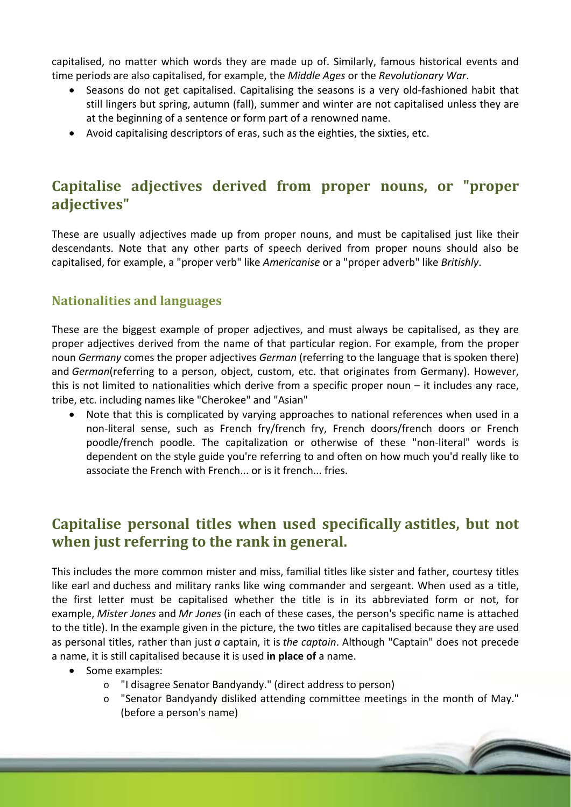capitalised, no matter which words they are made up of. Similarly, famous historical events and time periods are also capitalised, for example, the *Middle Ages* or the *Revolutionary War*.

- Seasons do not get capitalised. Capitalising the seasons is a very old-fashioned habit that still lingers but spring, autumn (fall), summer and winter are not capitalised unless they are at the beginning of a sentence or form part of a renowned name.
- Avoid capitalising descriptors of eras, such as the eighties, the sixties, etc.

## **Capitalise adjectives derived from proper nouns, or "proper adjectives"**

These are usually adjectives made up from proper nouns, and must be capitalised just like their descendants. Note that any other parts of speech derived from proper nouns should also be capitalised, for example, a "proper verb" like *Americanise* or a "proper adverb" like *Britishly*.

#### **Nationalities and languages**

These are the biggest example of proper adjectives, and must always be capitalised, as they are proper adjectives derived from the name of that particular region. For example, from the proper noun *Germany* comes the proper adjectives *German* (referring to the language that is spoken there) and *German*(referring to a person, object, custom, etc. that originates from Germany). However, this is not limited to nationalities which derive from a specific proper noun – it includes any race, tribe, etc. including names like "Cherokee" and "Asian"

 Note that this is complicated by varying approaches to national references when used in a non-literal sense, such as French fry/french fry, French doors/french doors or French poodle/french poodle. The capitalization or otherwise of these "non‐literal" words is dependent on the style guide you're referring to and often on how much you'd really like to associate the French with French... or is it french... fries.

## **Capitalise personal titles when used specifically astitles, but not when just referring to the rank in general.**

This includes the more common mister and miss, familial titles like sister and father, courtesy titles like earl and duchess and military ranks like wing commander and sergeant. When used as a title, the first letter must be capitalised whether the title is in its abbreviated form or not, for example, *Mister Jones* and *Mr Jones* (in each of these cases, the person's specific name is attached to the title). In the example given in the picture, the two titles are capitalised because they are used as personal titles, rather than just *a* captain, it is *the captain*. Although "Captain" does not precede a name, it is still capitalised because it is used **in place of** a name.

- Some examples:
	- o "I disagree Senator Bandyandy." (direct address to person)
	- "Senator Bandyandy disliked attending committee meetings in the month of May." (before a person's name)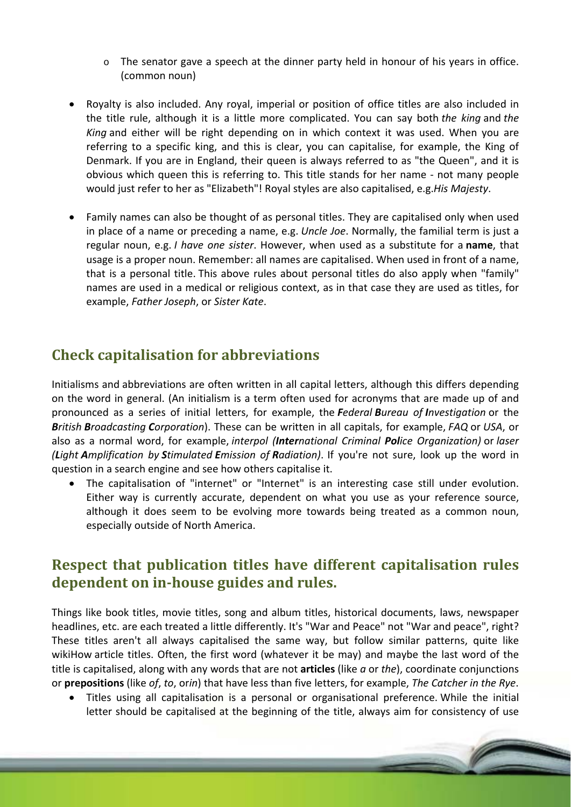- $\circ$  The senator gave a speech at the dinner party held in honour of his years in office. (common noun)
- Royalty is also included. Any royal, imperial or position of office titles are also included in the title rule, although it is a little more complicated. You can say both *the king* and *the King* and either will be right depending on in which context it was used. When you are referring to a specific king, and this is clear, you can capitalise, for example, the King of Denmark. If you are in England, their queen is always referred to as "the Queen", and it is obvious which queen this is referring to. This title stands for her name ‐ not many people would just refer to her as "Elizabeth"! Royal styles are also capitalised, e.g.*His Majesty*.
- Family names can also be thought of as personal titles. They are capitalised only when used in place of a name or preceding a name, e.g. *Uncle Joe*. Normally, the familial term is just a regular noun, e.g. *I have one sister*. However, when used as a substitute for a **name**, that usage is a proper noun. Remember: all names are capitalised. When used in front of a name, that is a personal title. This above rules about personal titles do also apply when "family" names are used in a medical or religious context, as in that case they are used as titles, for example, *Father Joseph*, or *Sister Kate*.

## **Check capitalisation for abbreviations**

Initialisms and abbreviations are often written in all capital letters, although this differs depending on the word in general. (An initialism is a term often used for acronyms that are made up of and pronounced as a series of initial letters, for example, the *Federal Bureau of Investigation* or the *British Broadcasting Corporation*). These can be written in all capitals, for example, *FAQ* or *USA*, or also as a normal word, for example, *interpol (International Criminal Police Organization)* or *laser (Light Amplification by Stimulated Emission of Radiation)*. If you're not sure, look up the word in question in a search engine and see how others capitalise it.

 The capitalisation of "internet" or "Internet" is an interesting case still under evolution. Either way is currently accurate, dependent on what you use as your reference source, although it does seem to be evolving more towards being treated as a common noun, especially outside of North America.

## **Respect that publication titles have different capitalisation rules dependent on in‐house guides and rules.**

Things like book titles, movie titles, song and album titles, historical documents, laws, newspaper headlines, etc. are each treated a little differently. It's "War and Peace" not "War and peace", right? These titles aren't all always capitalised the same way, but follow similar patterns, quite like wikiHow article titles. Often, the first word (whatever it be may) and maybe the last word of the title is capitalised, along with any words that are not **articles** (like *a* or *the*), coordinate conjunctions or **prepositions** (like *of*, *to*, or*in*) that have less than five letters, for example, *The Catcher in the Rye*.

 Titles using all capitalisation is a personal or organisational preference. While the initial letter should be capitalised at the beginning of the title, always aim for consistency of use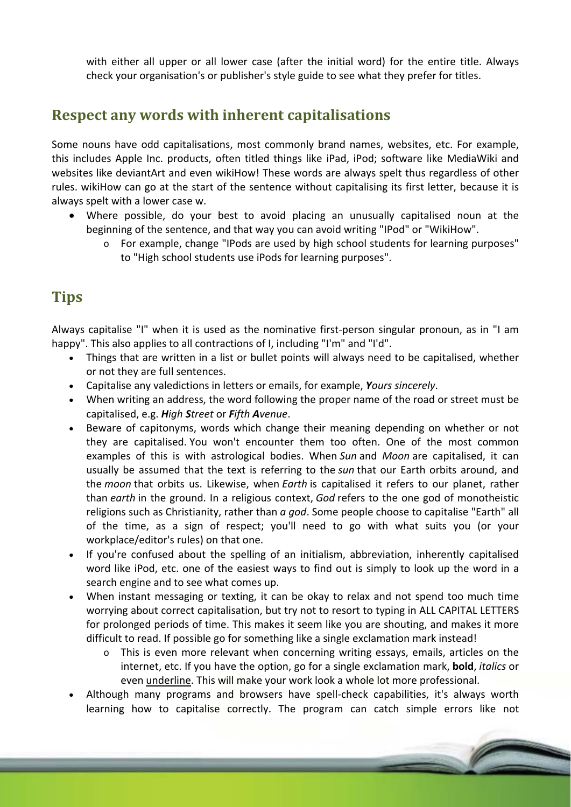with either all upper or all lower case (after the initial word) for the entire title. Always check your organisation's or publisher's style guide to see what they prefer for titles.

### **Respect any words with inherent capitalisations**

Some nouns have odd capitalisations, most commonly brand names, websites, etc. For example, this includes Apple Inc. products, often titled things like iPad, iPod; software like MediaWiki and websites like deviantArt and even wikiHow! These words are always spelt thus regardless of other rules. wikiHow can go at the start of the sentence without capitalising its first letter, because it is always spelt with a lower case w.

- Where possible, do your best to avoid placing an unusually capitalised noun at the beginning of the sentence, and that way you can avoid writing "IPod" or "WikiHow".
	- o For example, change "IPods are used by high school students for learning purposes" to "High school students use iPods for learning purposes".

## **Tips**

Always capitalise "I" when it is used as the nominative first‐person singular pronoun, as in "I am happy". This also applies to all contractions of I, including "I'm" and "I'd".

- Things that are written in a list or bullet points will always need to be capitalised, whether or not they are full sentences.
- Capitalise any valedictions in letters or emails, for example, *Yours sincerely*.
- When writing an address, the word following the proper name of the road or street must be capitalised, e.g. *High Street* or *Fifth Avenue*.
- Beware of capitonyms, words which change their meaning depending on whether or not they are capitalised. You won't encounter them too often. One of the most common examples of this is with astrological bodies. When *Sun* and *Moon* are capitalised, it can usually be assumed that the text is referring to the *sun* that our Earth orbits around, and the *moon* that orbits us. Likewise, when *Earth* is capitalised it refers to our planet, rather than *earth* in the ground. In a religious context, *God* refers to the one god of monotheistic religions such as Christianity, rather than *a god*. Some people choose to capitalise "Earth" all of the time, as a sign of respect; you'll need to go with what suits you (or your workplace/editor's rules) on that one.
- If you're confused about the spelling of an initialism, abbreviation, inherently capitalised word like iPod, etc. one of the easiest ways to find out is simply to look up the word in a search engine and to see what comes up.
- When instant messaging or texting, it can be okay to relax and not spend too much time worrying about correct capitalisation, but try not to resort to typing in ALL CAPITAL LETTERS for prolonged periods of time. This makes it seem like you are shouting, and makes it more difficult to read. If possible go for something like a single exclamation mark instead!
	- $\circ$  This is even more relevant when concerning writing essays, emails, articles on the internet, etc. If you have the option, go for a single exclamation mark, **bold**, *italics* or even underline. This will make your work look a whole lot more professional.
- Although many programs and browsers have spell‐check capabilities, it's always worth learning how to capitalise correctly. The program can catch simple errors like not